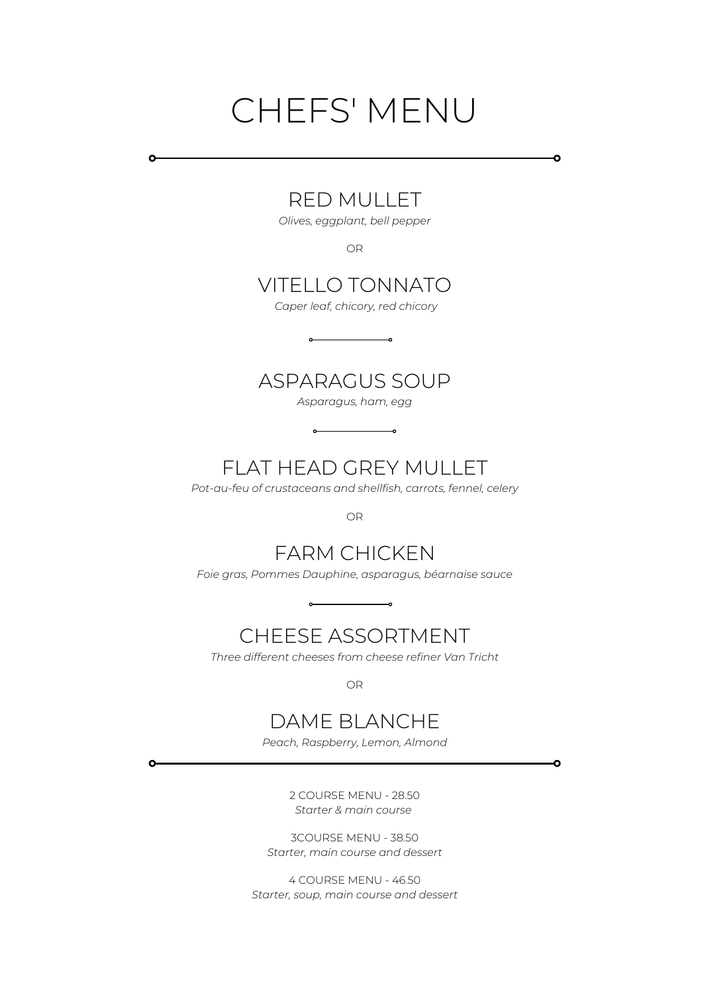# CHEFS' MENU

Ō

 $\bullet$ 

### RED MULLET

 $\circ$ 

 $\Omega$ 

*Olives, eggplant, bell pepper*

OR

### VITELLO TONNATO

*Caper leaf, chicory, red chicory*

### ASPARAGUS SOUP

*Asparagus, ham, egg*

 $\circ$ 

## FLAT HEAD GREY MULLET

 $\overline{\phantom{0}}$ 

*Pot-au-feu of crustaceans and shellfish, carrots, fennel, celery*

OR

### FARM CHICKEN

*Foie gras, Pommes Dauphine, asparagus, béarnaise sauce*

## CHEESE ASSORTMENT

*Three different cheeses from cheese refiner Van Tricht*

OR

### DAME BLANCHE

*Peach, Raspberry, Lemon, Almond*

2 COURSE MENU - 28.50 *Starter & main course*

3COURSE MENU - 38.50 *Starter, main course and dessert*

4 COURSE MENU - 46.50 *Starter, soup, main course and dessert*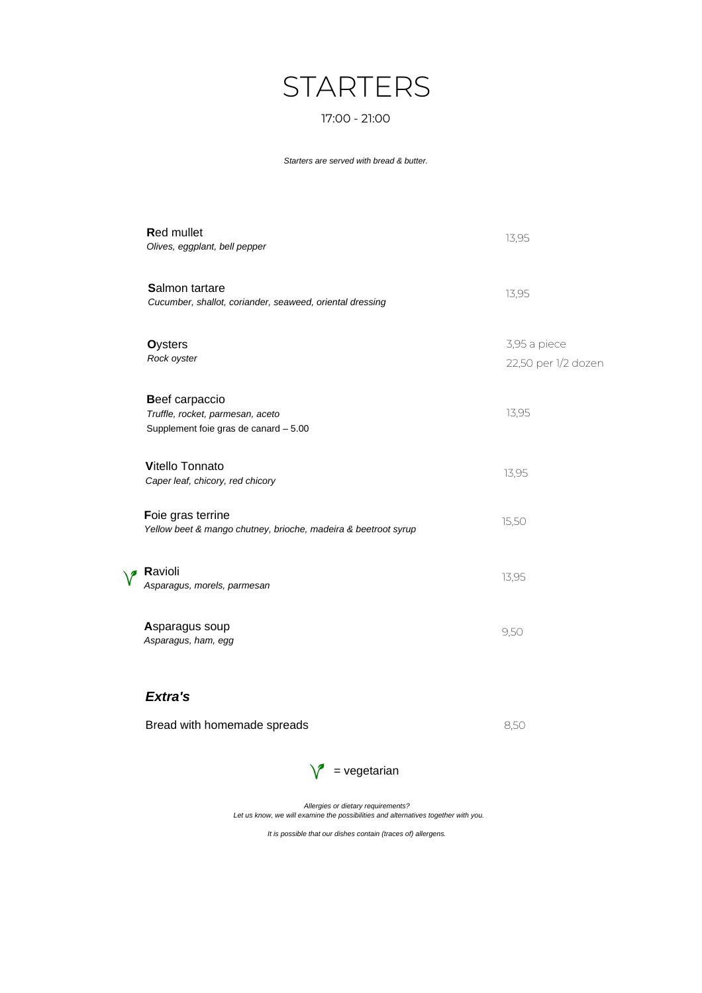# **STARTERS**

#### 17:00 - 21:00

*Starters are served with bread & butter.*

| <b>Red mullet</b><br>Olives, eggplant, bell pepper                                          | 13,95                               |
|---------------------------------------------------------------------------------------------|-------------------------------------|
| <b>Salmon tartare</b><br>Cucumber, shallot, coriander, seaweed, oriental dressing           | 13,95                               |
| <b>Oysters</b><br>Rock oyster                                                               | 3,95 a piece<br>22,50 per 1/2 dozen |
| Beef carpaccio<br>Truffle, rocket, parmesan, aceto<br>Supplement foie gras de canard - 5.00 | 13,95                               |
| <b>Vitello Tonnato</b><br>Caper leaf, chicory, red chicory                                  | 13,95                               |
| Foie gras terrine<br>Yellow beet & mango chutney, brioche, madeira & beetroot syrup         | 15,50                               |
| Ravioli<br>Asparagus, morels, parmesan                                                      | 13,95                               |
| Asparagus soup<br>Asparagus, ham, egg                                                       | 9,50                                |
|                                                                                             |                                     |

#### *Extra's*

 $\sqrt{ }$ 

| Bread with homemade spreads | 8.50 |
|-----------------------------|------|
|-----------------------------|------|



*Allergies or dietary requirements? Let us know, we will examine the possibilities and alternatives together with you.*

*It is possible that our dishes contain (traces of) allergens.*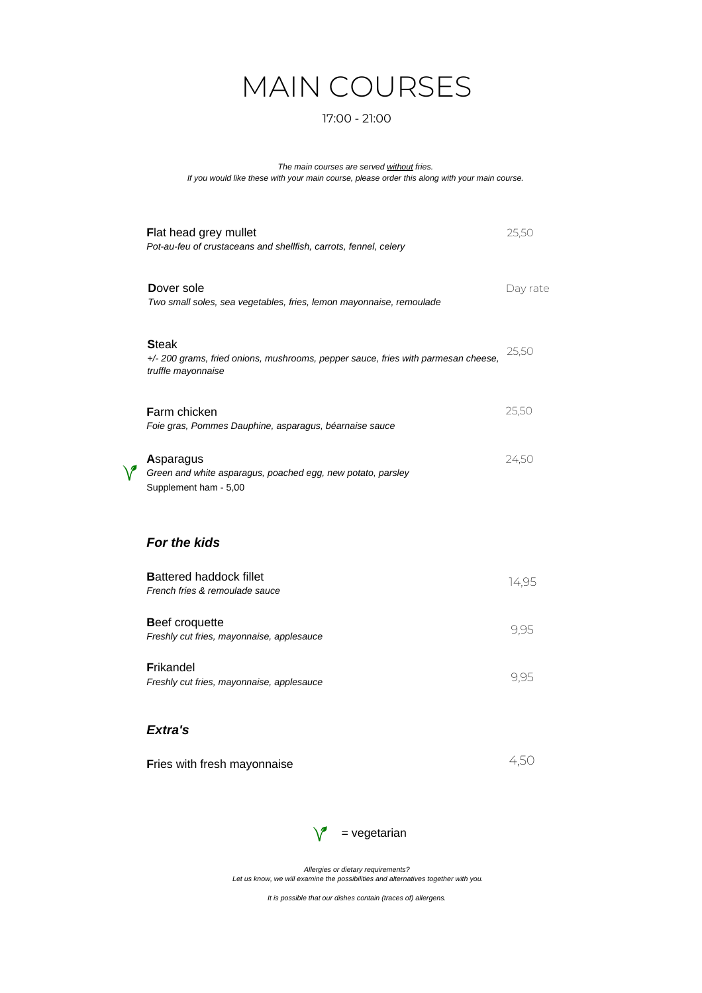# MAIN COURSES

#### 17:00 - 21:00

*The main courses are served without fries. If you would like these with your main course, please order this along with your main course.*

| Flat head grey mullet<br>Pot-au-feu of crustaceans and shellfish, carrots, fennel, celery                               | 25,50    |
|-------------------------------------------------------------------------------------------------------------------------|----------|
| Dover sole<br>Two small soles, sea vegetables, fries, lemon mayonnaise, remoulade                                       | Day rate |
| <b>Steak</b><br>+/- 200 grams, fried onions, mushrooms, pepper sauce, fries with parmesan cheese,<br>truffle mayonnaise | 25,50    |
| <b>Farm chicken</b><br>Foie gras, Pommes Dauphine, asparagus, béarnaise sauce                                           | 25,50    |
| Asparagus<br>Green and white asparagus, poached egg, new potato, parsley<br>Supplement ham - 5,00                       | 24,50    |
| <b>For the kids</b>                                                                                                     |          |
| <b>Battered haddock fillet</b><br>French fries & remoulade sauce                                                        | 14,95    |
| <b>Beef croquette</b><br>Freshly cut fries, mayonnaise, applesauce                                                      | 9,95     |
| <b>Frikandel</b><br>Freshly cut fries, mayonnaise, applesauce                                                           | 9,95     |
|                                                                                                                         |          |

#### *Extra's*

**F**ries with fresh mayonnaise 4,50



*Allergies or dietary requirements? Let us know, we will examine the possibilities and alternatives together with you.*

*It is possible that our dishes contain (traces of) allergens.*